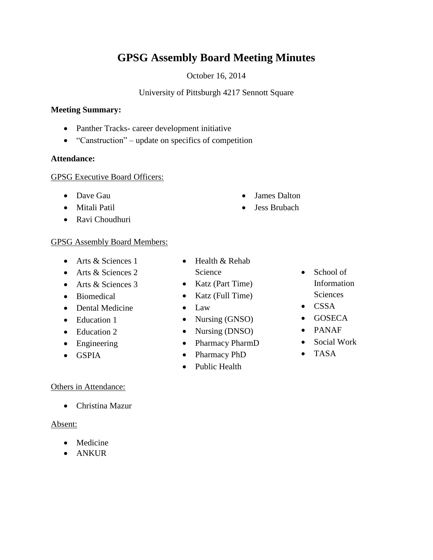# **GPSG Assembly Board Meeting Minutes**

October 16, 2014

#### University of Pittsburgh 4217 Sennott Square

#### **Meeting Summary:**

- Panther Tracks- career development initiative
- "Canstruction" update on specifics of competition

#### **Attendance:**

#### GPSG Executive Board Officers:

- Dave Gau
- Mitali Patil
- Ravi Choudhuri

### GPSG Assembly Board Members:

- Arts & Sciences 1
- Arts & Sciences 2
- Arts & Sciences 3
- Biomedical
- Dental Medicine
- Education 1
- Education 2
- Engineering
- GSPIA

## Others in Attendance:

Christina Mazur

## Absent:

- Medicine
- ANKUR
- Health & Rehab Science
- Katz (Part Time)
- $\bullet$  Katz (Full Time)
- Law
- Nursing (GNSO)
- Nursing (DNSO)
- Pharmacy PharmD
- Pharmacy PhD
- Public Health
- School of Information Sciences
- CSSA
- GOSECA
- PANAF
- Social Work
- TASA
- James Dalton
- Jess Brubach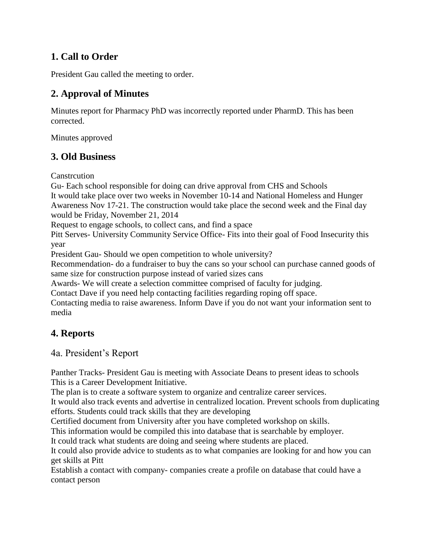## **1. Call to Order**

President Gau called the meeting to order.

## **2. Approval of Minutes**

Minutes report for Pharmacy PhD was incorrectly reported under PharmD. This has been corrected.

Minutes approved

## **3. Old Business**

**Canstrcution** 

Gu- Each school responsible for doing can drive approval from CHS and Schools It would take place over two weeks in November 10-14 and National Homeless and Hunger Awareness Nov 17-21. The construction would take place the second week and the Final day would be Friday, November 21, 2014

Request to engage schools, to collect cans, and find a space

Pitt Serves- University Community Service Office- Fits into their goal of Food Insecurity this year

President Gau- Should we open competition to whole university?

Recommendation- do a fundraiser to buy the cans so your school can purchase canned goods of same size for construction purpose instead of varied sizes cans

Awards- We will create a selection committee comprised of faculty for judging.

Contact Dave if you need help contacting facilities regarding roping off space.

Contacting media to raise awareness. Inform Dave if you do not want your information sent to media

## **4. Reports**

4a. President's Report

Panther Tracks- President Gau is meeting with Associate Deans to present ideas to schools This is a Career Development Initiative.

The plan is to create a software system to organize and centralize career services.

It would also track events and advertise in centralized location. Prevent schools from duplicating efforts. Students could track skills that they are developing

Certified document from University after you have completed workshop on skills.

This information would be compiled this into database that is searchable by employer.

It could track what students are doing and seeing where students are placed.

It could also provide advice to students as to what companies are looking for and how you can get skills at Pitt

Establish a contact with company- companies create a profile on database that could have a contact person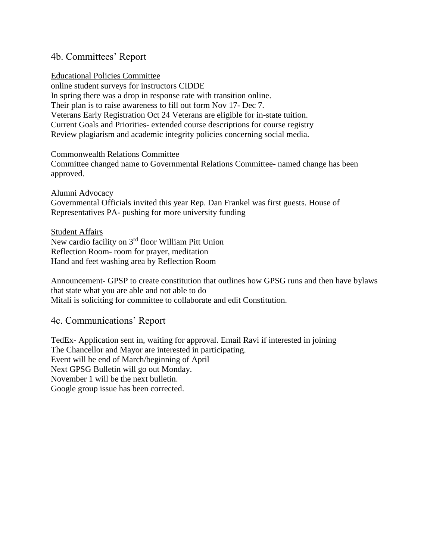## 4b. Committees' Report

#### Educational Policies Committee

online student surveys for instructors CIDDE In spring there was a drop in response rate with transition online. Their plan is to raise awareness to fill out form Nov 17- Dec 7. Veterans Early Registration Oct 24 Veterans are eligible for in-state tuition. Current Goals and Priorities- extended course descriptions for course registry Review plagiarism and academic integrity policies concerning social media.

#### Commonwealth Relations Committee

Committee changed name to Governmental Relations Committee- named change has been approved.

#### Alumni Advocacy

Governmental Officials invited this year Rep. Dan Frankel was first guests. House of Representatives PA- pushing for more university funding

Student Affairs New cardio facility on 3rd floor William Pitt Union Reflection Room- room for prayer, meditation Hand and feet washing area by Reflection Room

Announcement- GPSP to create constitution that outlines how GPSG runs and then have bylaws that state what you are able and not able to do Mitali is soliciting for committee to collaborate and edit Constitution.

#### 4c. Communications' Report

TedEx- Application sent in, waiting for approval. Email Ravi if interested in joining The Chancellor and Mayor are interested in participating. Event will be end of March/beginning of April Next GPSG Bulletin will go out Monday. November 1 will be the next bulletin. Google group issue has been corrected.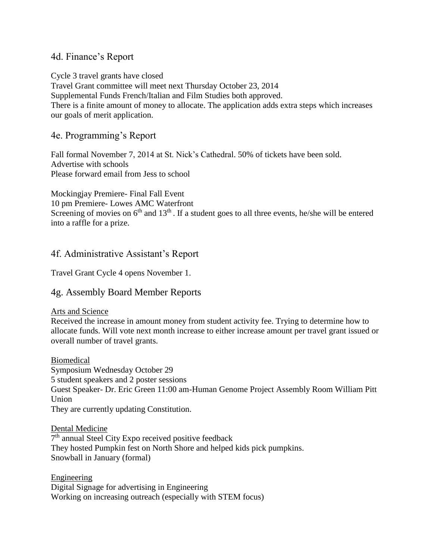### 4d. Finance's Report

Cycle 3 travel grants have closed Travel Grant committee will meet next Thursday October 23, 2014 Supplemental Funds French/Italian and Film Studies both approved. There is a finite amount of money to allocate. The application adds extra steps which increases our goals of merit application.

### 4e. Programming's Report

Fall formal November 7, 2014 at St. Nick's Cathedral. 50% of tickets have been sold. Advertise with schools Please forward email from Jess to school

Mockingjay Premiere- Final Fall Event 10 pm Premiere- Lowes AMC Waterfront Screening of movies on  $6<sup>th</sup>$  and  $13<sup>th</sup>$ . If a student goes to all three events, he/she will be entered into a raffle for a prize.

## 4f. Administrative Assistant's Report

Travel Grant Cycle 4 opens November 1.

## 4g. Assembly Board Member Reports

#### Arts and Science

Received the increase in amount money from student activity fee. Trying to determine how to allocate funds. Will vote next month increase to either increase amount per travel grant issued or overall number of travel grants.

Biomedical Symposium Wednesday October 29 5 student speakers and 2 poster sessions Guest Speaker- Dr. Eric Green 11:00 am-Human Genome Project Assembly Room William Pitt Union They are currently updating Constitution.

Dental Medicine 7<sup>th</sup> annual Steel City Expo received positive feedback They hosted Pumpkin fest on North Shore and helped kids pick pumpkins. Snowball in January (formal)

Engineering Digital Signage for advertising in Engineering Working on increasing outreach (especially with STEM focus)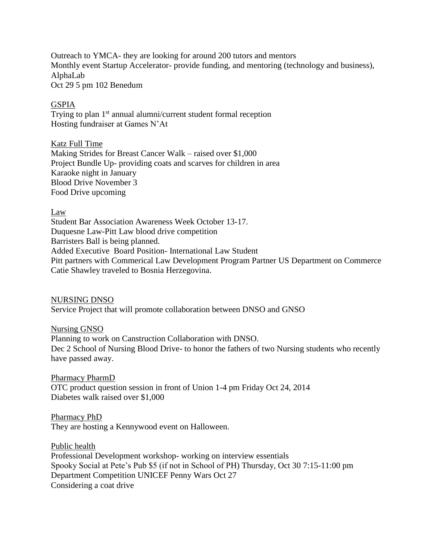Outreach to YMCA- they are looking for around 200 tutors and mentors Monthly event Startup Accelerator- provide funding, and mentoring (technology and business), AlphaLab Oct 29 5 pm 102 Benedum

#### GSPIA

Trying to plan 1<sup>st</sup> annual alumni/current student formal reception Hosting fundraiser at Games N'At

Katz Full Time

Making Strides for Breast Cancer Walk – raised over \$1,000 Project Bundle Up- providing coats and scarves for children in area Karaoke night in January Blood Drive November 3 Food Drive upcoming

Law

Student Bar Association Awareness Week October 13-17. Duquesne Law-Pitt Law blood drive competition Barristers Ball is being planned. Added Executive Board Position- International Law Student Pitt partners with Commerical Law Development Program Partner US Department on Commerce Catie Shawley traveled to Bosnia Herzegovina.

NURSING DNSO

Service Project that will promote collaboration between DNSO and GNSO

Nursing GNSO

Planning to work on Canstruction Collaboration with DNSO. Dec 2 School of Nursing Blood Drive- to honor the fathers of two Nursing students who recently have passed away.

Pharmacy PharmD OTC product question session in front of Union 1-4 pm Friday Oct 24, 2014 Diabetes walk raised over \$1,000

Pharmacy PhD They are hosting a Kennywood event on Halloween.

Public health Professional Development workshop- working on interview essentials Spooky Social at Pete's Pub \$5 (if not in School of PH) Thursday, Oct 30 7:15-11:00 pm Department Competition UNICEF Penny Wars Oct 27 Considering a coat drive